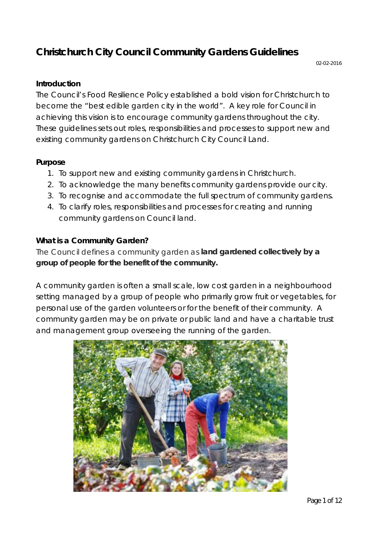# **Christchurch City Council Community Gardens Guidelines**

#### **Introduction**

The Council's Food Resilience Policy established a bold vision for Christchurch to become the "best edible garden city in the world". A key role for Council in achieving this vision is to encourage community gardens throughout the city. These guidelines sets out roles, responsibilities and processes to support new and existing community gardens on Christchurch City Council Land.

#### **Purpose**

- 1. To support new and existing community gardens in Christchurch.
- 2. To acknowledge the many benefits community gardens provide our city.
- 3. To recognise and accommodate the full spectrum of community gardens.
- 4. To clarify roles, responsibilities and processes for creating and running community gardens on Council land.

#### **What is a Community Garden?**

The Council defines a community garden as *land gardened collectively by a group of people for the benefit of the community.*

A community garden is often a small scale, low cost garden in a neighbourhood setting managed by a group of people who primarily grow fruit or vegetables, for personal use of the garden volunteers or for the benefit of their community. A community garden may be on private or public land and have a charitable trust and management group overseeing the running of the garden.

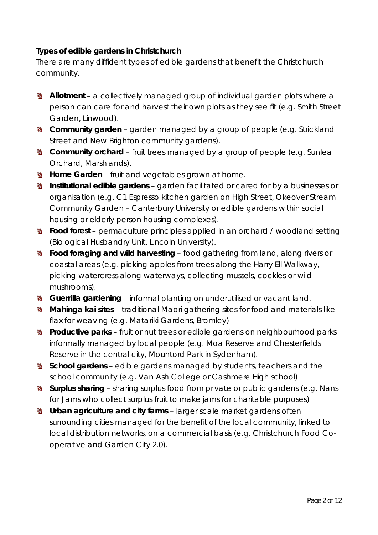**Types of edible gardens in Christchurch**

There are many diffident types of edible gardens that benefit the Christchurch community.

- **Allotment** a collectively managed group of individual garden plots where a person can care for and harvest their own plots as they see fit (e.g. Smith Street Garden, Linwood).
- **Community garden** garden managed by a group of people (e.g. Strickland Street and New Brighton community gardens).
- **W** Community orchard fruit trees managed by a group of people (e.g. Sunlea Orchard, Marshlands).
- **Home Garden** fruit and vegetables grown at home.
- **Institutional edible gardens garden facilitated or cared for by a businesses or** organisation (e.g. C1 Espresso kitchen garden on High Street, Okeover Stream Community Garden – Canterbury University or edible gardens within social housing or elderly person housing complexes).
- **Food forest** permaculture principles applied in an orchard / woodland setting (Biological Husbandry Unit, Lincoln University).
- **Food foraging and wild harvesting** food gathering from land, along rivers or coastal areas (e.g. picking apples from trees along the Harry Ell Walkway, picking watercress along waterways, collecting mussels, cockles or wild mushrooms).
- **Guerrilla gardening** informal planting on underutilised or vacant land.
- **Mahinga kai sites** traditional Maori gathering sites for food and materials like flax for weaving (e.g. Matariki Gardens, Bromley)
- **\*** Productive parks fruit or nut trees or edible gardens on neighbourhood parks informally managed by local people (e.g. Moa Reserve and Chesterfields Reserve in the central city, Mountord Park in Sydenham).
- **School gardens** edible gardens managed by students, teachers and the school community (e.g. Van Ash College or Cashmere High school)
- **Surplus sharing** sharing surplus food from private or public gardens (e.g. Nans for Jams who collect surplus fruit to make jams for charitable purposes)
- **Urban agriculture and city farms** larger scale market gardens often surrounding cities managed for the benefit of the local community, linked to local distribution networks, on a commercial basis (e.g. Christchurch Food Cooperative and Garden City 2.0).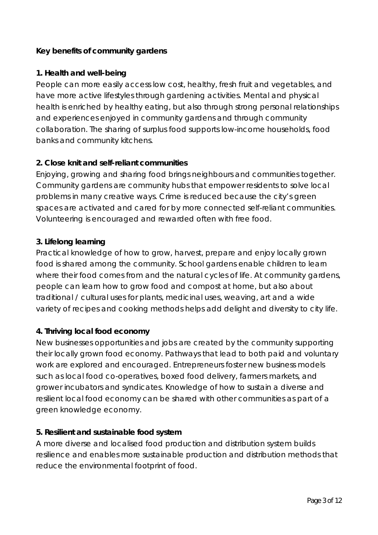# **Key benefits of community gardens**

#### **1. Health and well-being**

People can more easily access low cost, healthy, fresh fruit and vegetables, and have more active lifestyles through gardening activities. Mental and physical health is enriched by healthy eating, but also through strong personal relationships and experiences enjoyed in community gardens and through community collaboration. The sharing of surplus food supports low-income households, food banks and community kitchens.

# **2. Close knit and self-reliant communities**

Enjoying, growing and sharing food brings neighbours and communities together. Community gardens are community hubs that empower residents to solve local problems in many creative ways. Crime is reduced because the city's green spaces are activated and cared for by more connected self-reliant communities. Volunteering is encouraged and rewarded often with free food.

# **3. Lifelong learning**

Practical knowledge of how to grow, harvest, prepare and enjoy locally grown food is shared among the community. School gardens enable children to learn where their food comes from and the natural cycles of life. At community gardens, people can learn how to grow food and compost at home, but also about traditional / cultural uses for plants, medicinal uses, weaving, art and a wide variety of recipes and cooking methods helps add delight and diversity to city life.

# **4. Thriving local food economy**

New businesses opportunities and jobs are created by the community supporting their locally grown food economy. Pathways that lead to both paid and voluntary work are explored and encouraged. Entrepreneurs foster new business models such as local food co-operatives, boxed food delivery, farmers markets, and grower incubators and syndicates. Knowledge of how to sustain a diverse and resilient local food economy can be shared with other communities as part of a green knowledge economy.

#### **5. Resilient and sustainable food system**

A more diverse and localised food production and distribution system builds resilience and enables more sustainable production and distribution methods that reduce the environmental footprint of food.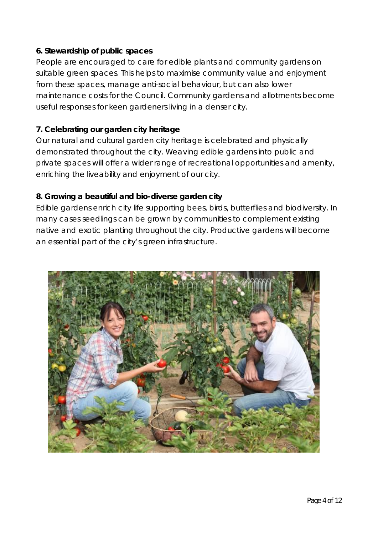# **6. Stewardship of public spaces**

People are encouraged to care for edible plants and community gardens on suitable green spaces. This helps to maximise community value and enjoyment from these spaces, manage anti-social behaviour, but can also lower maintenance costs for the Council. Community gardens and allotments become useful responses for keen gardeners living in a denser city.

# **7. Celebrating our garden city heritage**

Our natural and cultural garden city heritage is celebrated and physically demonstrated throughout the city. Weaving edible gardens into public and private spaces will offer a wider range of recreational opportunities and amenity, enriching the liveability and enjoyment of our city.

# **8. Growing a beautiful and bio-diverse garden city**

Edible gardens enrich city life supporting bees, birds, butterflies and biodiversity. In many cases seedlings can be grown by communities to complement existing native and exotic planting throughout the city. Productive gardens will become an essential part of the city's green infrastructure.

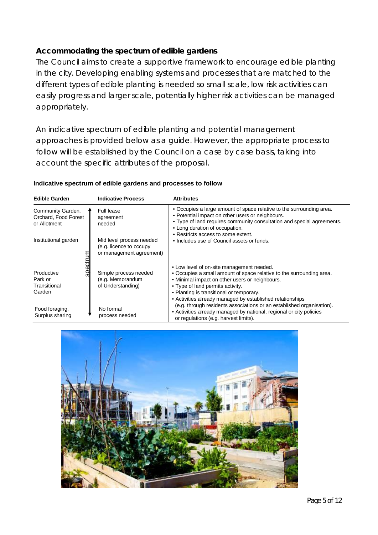# **Accommodating the spectrum of edible gardens**

The Council aims to create a supportive framework to encourage edible planting in the city. Developing enabling systems and processes that are matched to the different types of edible planting is needed so small scale, low risk activities can easily progress and larger scale, potentially higher risk activities can be managed appropriately.

An indicative spectrum of edible planting and potential management approaches is provided below as a guide. However, the appropriate process to follow will be established by the Council on a case by case basis, taking into account the specific attributes of the proposal.

#### **Indicative spectrum of edible gardens and processes to follow**

| <b>Edible Garden</b>                                      | <b>Indicative Process</b>                                                       | <b>Attributes</b>                                                                                                                                                                                                                                                                                                |
|-----------------------------------------------------------|---------------------------------------------------------------------------------|------------------------------------------------------------------------------------------------------------------------------------------------------------------------------------------------------------------------------------------------------------------------------------------------------------------|
| Community Garden,<br>Orchard, Food Forest<br>or Allotment | <b>Full lease</b><br>agreement<br>needed                                        | • Occupies a large amount of space relative to the surrounding area.<br>• Potential impact on other users or neighbours.<br>. Type of land requires community consultation and special agreements.<br>• Long duration of occupation.                                                                             |
| Institutional garden                                      | Mid level process needed<br>(e.g. licence to occupy<br>or management agreement) | • Restricts access to some extent.<br>• Includes use of Council assets or funds.                                                                                                                                                                                                                                 |
| Productive<br>Park or<br>Transitional<br>Garden           | Simple process needed<br>(e.g. Memorandum<br>of Understanding)                  | • Low level of on-site management needed.<br>• Occupies a small amount of space relative to the surrounding area.<br>• Minimal impact on other users or neighbours.<br>• Type of land permits activity.<br>• Planting is transitional or temporary.<br>• Activities already managed by established relationships |
| Food foraging,<br>Surplus sharing                         | No formal<br>process needed                                                     | (e.g. through residents associations or an established organisation).<br>• Activities already managed by national, regional or city policies<br>or regulations (e.g. harvest limits).                                                                                                                            |

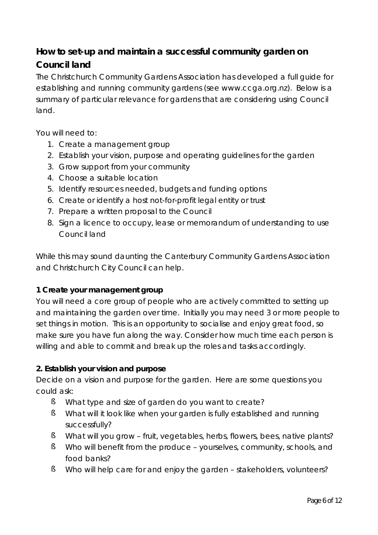# **How to set-up and maintain a successful community garden on Council land**

The Christchurch Community Gardens Association has developed a full guide for establishing and running community gardens (see www.ccga.org.nz). Below is a summary of particular relevance for gardens that are considering using Council land.

You will need to:

- 1. Create a management group
- 2. Establish your vision, purpose and operating guidelines for the garden
- 3. Grow support from your community
- 4. Choose a suitable location
- 5. Identify resources needed, budgets and funding options
- 6. Create or identify a host not-for-profit legal entity or trust
- 7. Prepare a written proposal to the Council
- 8. Sign a licence to occupy, lease or memorandum of understanding to use Council land

While this may sound daunting the Canterbury Community Gardens Association and Christchurch City Council can help.

#### **1 Create your management group**

You will need a core group of people who are actively committed to setting up and maintaining the garden over time. Initially you may need 3 or more people to set things in motion. This is an opportunity to socialise and enjoy great food, so make sure you have fun along the way. Consider how much time each person is willing and able to commit and break up the roles and tasks accordingly.

#### **2. Establish your vision and purpose**

Decide on a vision and purpose for the garden. Here are some questions you could ask:

- § What type and size of garden do you want to create?
- § What will it look like when your garden is fully established and running successfully?
- § What will you grow fruit, vegetables, herbs, flowers, bees, native plants?
- § Who will benefit from the produce yourselves, community, schools, and food banks?
- § Who will help care for and enjoy the garden stakeholders, volunteers?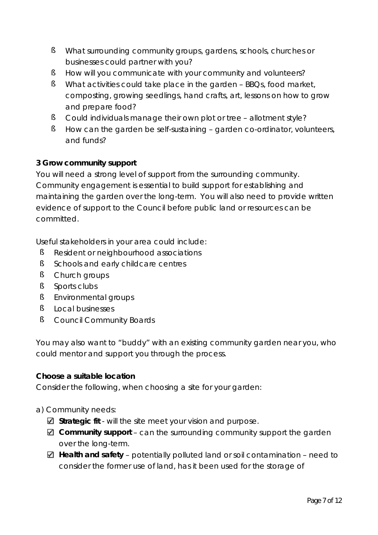- § What surrounding community groups, gardens, schools, churches or businesses could partner with you?
- § How will you communicate with your community and volunteers?
- § What activities could take place in the garden BBQs, food market, composting, growing seedlings, hand crafts, art, lessons on how to grow and prepare food?
- § Could individuals manage their own plot or tree allotment style?
- § How can the garden be self-sustaining garden co-ordinator, volunteers, and funds?

# **3 Grow community support**

You will need a strong level of support from the surrounding community. Community engagement is essential to build support for establishing and maintaining the garden over the long-term. You will also need to provide written evidence of support to the Council before public land or resources can be committed.

Useful stakeholders in your area could include:

- § Resident or neighbourhood associations
- § Schools and early childcare centres
- § Church groups
- § Sports clubs
- § Environmental groups
- § Local businesses
- § Council Community Boards

You may also want to "buddy" with an existing community garden near you, who could mentor and support you through the process.

**Choose a suitable location**

Consider the following, when choosing a site for your garden:

#### a) Community needs:

- **Strategic fit** will the site meet your vision and purpose.
- **Community support** can the surrounding community support the garden over the long-term.
- **Health and safety** potentially polluted land or soil contamination need to consider the former use of land, has it been used for the storage of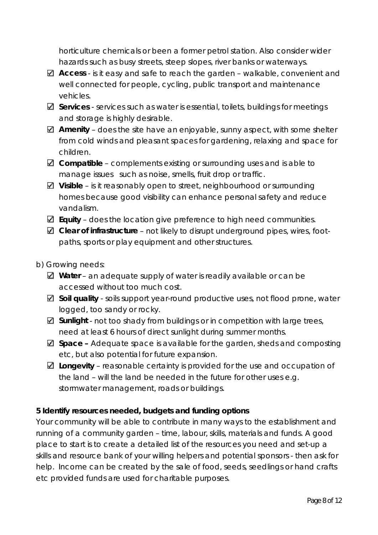horticulture chemicals or been a former petrol station. Also consider wider hazards such as busy streets, steep slopes, river banks or waterways.

- **Access** is it easy and safe to reach the garden walkable, convenient and well connected for people, cycling, public transport and maintenance vehicles.
- **Services** services such as water is essential, toilets, buildings for meetings and storage is highly desirable.
- **Amenity** does the site have an enjoyable, sunny aspect, with some shelter from cold winds and pleasant spaces for gardening, relaxing and space for children.
- **Compatible** complements existing or surrounding uses and is able to manage issues such as noise, smells, fruit drop or traffic.
- Visible is it reasonably open to street, neighbourhood or surrounding homes because good visibility can enhance personal safety and reduce vandalism.
- **Equity** does the location give preference to high need communities.
- **Clear of infrastructure** not likely to disrupt underground pipes, wires, footpaths, sports or play equipment and other structures.
- b) Growing needs:
	- **Water** an adequate supply of water is readily available or can be accessed without too much cost.
	- **Soil quality** soils support year-round productive uses, not flood prone, water logged, too sandy or rocky.
	- **Sunlight** not too shady from buildings or in competition with large trees, need at least 6 hours of direct sunlight during summer months.
	- **Space –** Adequate space is available for the garden, sheds and composting etc, but also potential for future expansion.
	- **Longevity** reasonable certainty is provided for the use and occupation of the land – will the land be needed in the future for other uses e.g. stormwater management, roads or buildings.

**5 Identify resources needed, budgets and funding options**

Your community will be able to contribute in many ways to the establishment and running of a community garden – time, labour, skills, materials and funds. A good place to start is to create a detailed list of the resources you need and set-up a skills and resource bank of your willing helpers and potential sponsors - then ask for help. Income can be created by the sale of food, seeds, seedlings or hand crafts etc provided funds are used for charitable purposes.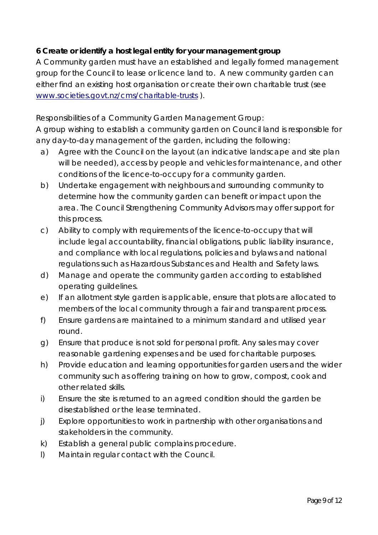**6 Create or identify a host legal entity for your management group** A Community garden must have an established and legally formed management group for the Council to lease or licence land to. A new community garden can either find an existing host organisation or create their own charitable trust (see www.societies.govt.nz/cms/charitable-trusts ).

# *Responsibilities of a Community Garden Management Group:*

A group wishing to establish a community garden on Council land is responsible for any day-to-day management of the garden, including the following:

- a) Agree with the Council on the layout (an indicative landscape and site plan will be needed), access by people and vehicles for maintenance, and other conditions of the licence-to-occupy for a community garden.
- b) Undertake engagement with neighbours and surrounding community to determine how the community garden can benefit or impact upon the area. The Council Strengthening Community Advisors may offer support for this process.
- c) Ability to comply with requirements of the licence-to-occupy that will include legal accountability, financial obligations, public liability insurance, and compliance with local regulations, policies and bylaws and national regulations such as Hazardous Substances and Health and Safety laws.
- d) Manage and operate the community garden according to established operating guildelines.
- e) If an allotment style garden is applicable, ensure that plots are allocated to members of the local community through a fair and transparent process.
- f) Ensure gardens are maintained to a minimum standard and utilised year round.
- g) Ensure that produce is not sold for personal profit. Any sales may cover reasonable gardening expenses and be used for charitable purposes.
- h) Provide education and learning opportunities for garden users and the wider community such as offering training on how to grow, compost, cook and other related skills.
- i) Ensure the site is returned to an agreed condition should the garden be disestablished or the lease terminated.
- j) Explore opportunities to work in partnership with other organisations and stakeholders in the community.
- k) Establish a general public complains procedure.
- l) Maintain regular contact with the Council.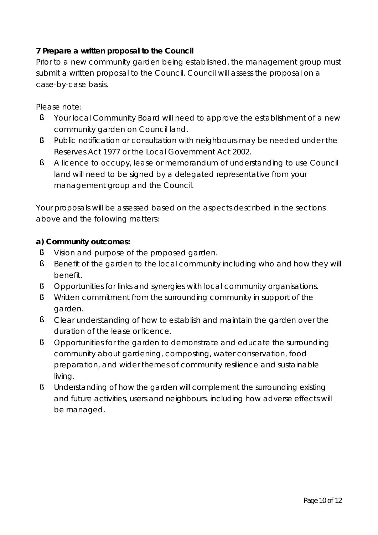# **7 Prepare a written proposal to the Council**

Prior to a new community garden being established, the management group must submit a written proposal to the Council. Council will assess the proposal on a case-by-case basis.

Please note:

- § Your local Community Board will need to approve the establishment of a new community garden on Council land.
- § Public notification or consultation with neighbours may be needed under the Reserves Act 1977 or the Local Government Act 2002.
- § A licence to occupy, lease or memorandum of understanding to use Council land will need to be signed by a delegated representative from your management group and the Council.

Your proposals will be assessed based on the aspects described in the sections above and the following matters:

**a) Community outcomes:**

- § Vision and purpose of the proposed garden.
- § Benefit of the garden to the local community including who and how they will benefit.
- § Opportunities for links and synergies with local community organisations.
- § Written commitment from the surrounding community in support of the garden.
- § Clear understanding of how to establish and maintain the garden over the duration of the lease or licence.
- § Opportunities for the garden to demonstrate and educate the surrounding community about gardening, composting, water conservation, food preparation, and wider themes of community resilience and sustainable living.
- § Understanding of how the garden will complement the surrounding existing and future activities, users and neighbours, including how adverse effects will be managed.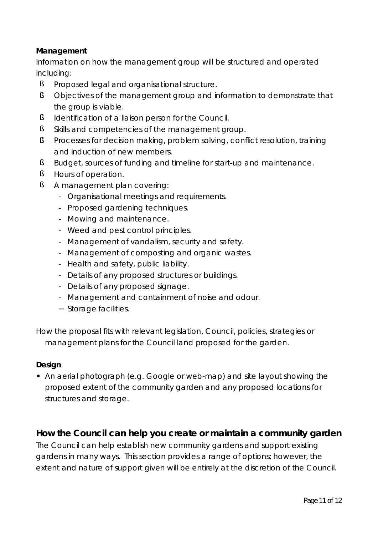**Management**

Information on how the management group will be structured and operated including:

- § Proposed legal and organisational structure.
- § Objectives of the management group and information to demonstrate that the group is viable.
- § Identification of a liaison person for the Council.
- § Skills and competencies of the management group.
- § Processes for decision making, problem solving, conflict resolution, training and induction of new members.
- § Budget, sources of funding and timeline for start-up and maintenance.
- § Hours of operation.
- § A management plan covering:
	- Organisational meetings and requirements.
	- Proposed gardening techniques.
	- Mowing and maintenance.
	- Weed and pest control principles.
	- Management of vandalism, security and safety.
	- Management of composting and organic wastes.
	- Health and safety, public liability.
	- Details of any proposed structures or buildings.
	- Details of any proposed signage.
	- Management and containment of noise and odour.
	- Storage facilities.

How the proposal fits with relevant legislation, Council, policies, strategies or management plans for the Council land proposed for the garden.

# **Design**

**•** An aerial photograph (e.g. Google or web-map) and site layout showing the proposed extent of the community garden and any proposed locations for structures and storage.

**How the Council can help you create or maintain a community garden** The Council can help establish new community gardens and support existing gardens in many ways. This section provides a range of options; however, the extent and nature of support given will be entirely at the discretion of the Council.